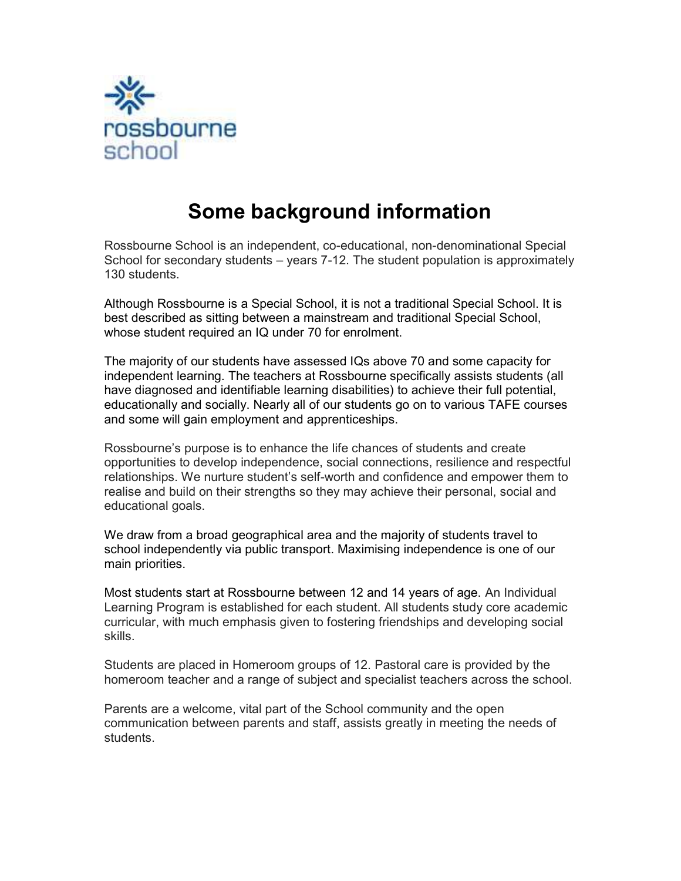

# Some background information

Rossbourne School is an independent, co-educational, non-denominational Special School for secondary students – years 7-12. The student population is approximately 130 students.

Although Rossbourne is a Special School, it is not a traditional Special School. It is best described as sitting between a mainstream and traditional Special School, whose student required an IQ under 70 for enrolment.

The majority of our students have assessed IQs above 70 and some capacity for independent learning. The teachers at Rossbourne specifically assists students (all have diagnosed and identifiable learning disabilities) to achieve their full potential, educationally and socially. Nearly all of our students go on to various TAFE courses and some will gain employment and apprenticeships.

Rossbourne's purpose is to enhance the life chances of students and create opportunities to develop independence, social connections, resilience and respectful relationships. We nurture student's self-worth and confidence and empower them to realise and build on their strengths so they may achieve their personal, social and educational goals.

We draw from a broad geographical area and the majority of students travel to school independently via public transport. Maximising independence is one of our main priorities.

Most students start at Rossbourne between 12 and 14 years of age. An Individual Learning Program is established for each student. All students study core academic curricular, with much emphasis given to fostering friendships and developing social skills.

Students are placed in Homeroom groups of 12. Pastoral care is provided by the homeroom teacher and a range of subject and specialist teachers across the school.

Parents are a welcome, vital part of the School community and the open communication between parents and staff, assists greatly in meeting the needs of students.